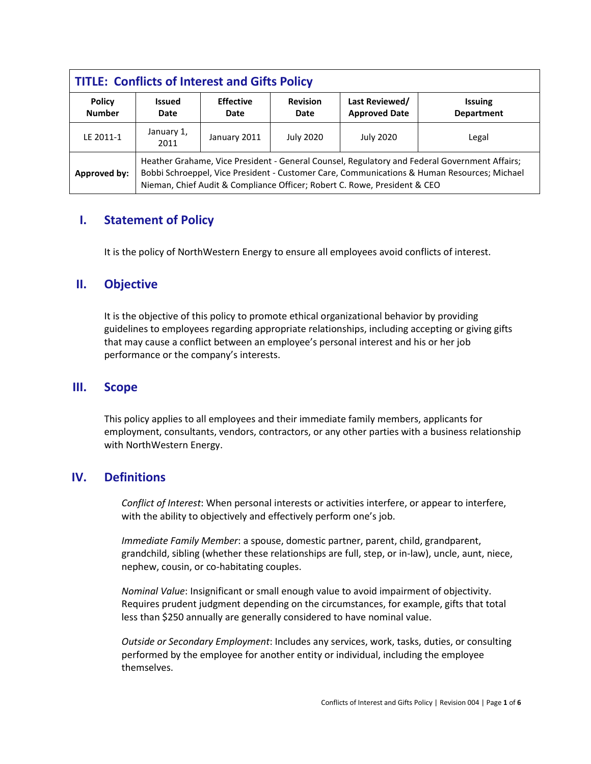| <b>TITLE: Conflicts of Interest and Gifts Policy</b> |                                                                                                                                                                                                                                                                           |                          |                         |                                        |                                     |
|------------------------------------------------------|---------------------------------------------------------------------------------------------------------------------------------------------------------------------------------------------------------------------------------------------------------------------------|--------------------------|-------------------------|----------------------------------------|-------------------------------------|
| <b>Policy</b><br><b>Number</b>                       | <b>Issued</b><br>Date                                                                                                                                                                                                                                                     | <b>Effective</b><br>Date | <b>Revision</b><br>Date | Last Reviewed/<br><b>Approved Date</b> | <b>Issuing</b><br><b>Department</b> |
| LE 2011-1                                            | January 1,<br>2011                                                                                                                                                                                                                                                        | January 2011             | <b>July 2020</b>        | <b>July 2020</b>                       | Legal                               |
| Approved by:                                         | Heather Grahame, Vice President - General Counsel, Regulatory and Federal Government Affairs;<br>Bobbi Schroeppel, Vice President - Customer Care, Communications & Human Resources; Michael<br>Nieman, Chief Audit & Compliance Officer; Robert C. Rowe, President & CEO |                          |                         |                                        |                                     |

# **I. Statement of Policy**

It is the policy of NorthWestern Energy to ensure all employees avoid conflicts of interest.

## **II. Objective**

It is the objective of this policy to promote ethical organizational behavior by providing guidelines to employees regarding appropriate relationships, including accepting or giving gifts that may cause a conflict between an employee's personal interest and his or her job performance or the company's interests.

#### **III. Scope**

This policy applies to all employees and their immediate family members, applicants for employment, consultants, vendors, contractors, or any other parties with a business relationship with NorthWestern Energy.

## **IV. Definitions**

*Conflict of Interest*: When personal interests or activities interfere, or appear to interfere, with the ability to objectively and effectively perform one's job.

*Immediate Family Member*: a spouse, domestic partner, parent, child, grandparent, grandchild, sibling (whether these relationships are full, step, or in-law), uncle, aunt, niece, nephew, cousin, or co-habitating couples.

*Nominal Value*: Insignificant or small enough value to avoid impairment of objectivity. Requires prudent judgment depending on the circumstances, for example, gifts that total less than \$250 annually are generally considered to have nominal value.

*Outside or Secondary Employment*: Includes any services, work, tasks, duties, or consulting performed by the employee for another entity or individual, including the employee themselves.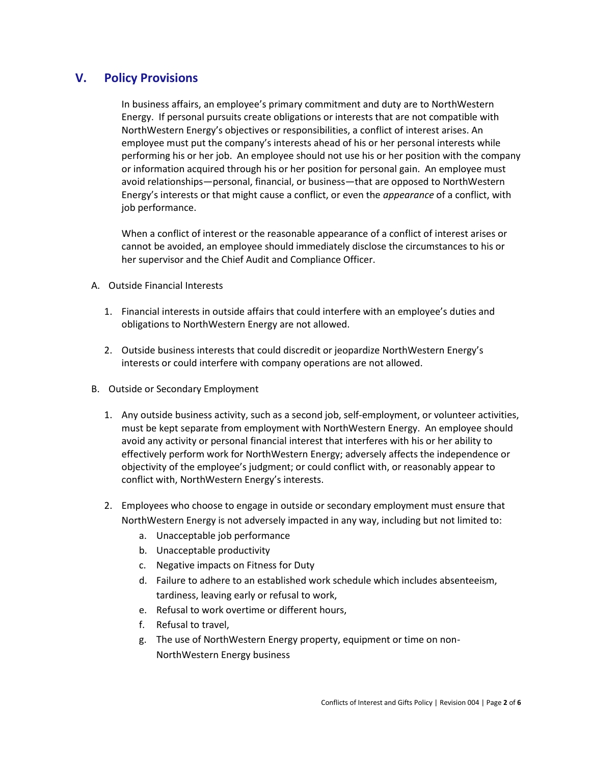# **V. Policy Provisions**

In business affairs, an employee's primary commitment and duty are to NorthWestern Energy. If personal pursuits create obligations or interests that are not compatible with NorthWestern Energy's objectives or responsibilities, a conflict of interest arises. An employee must put the company's interests ahead of his or her personal interests while performing his or her job. An employee should not use his or her position with the company or information acquired through his or her position for personal gain. An employee must avoid relationships—personal, financial, or business—that are opposed to NorthWestern Energy's interests or that might cause a conflict, or even the *appearance* of a conflict, with job performance.

When a conflict of interest or the reasonable appearance of a conflict of interest arises or cannot be avoided, an employee should immediately disclose the circumstances to his or her supervisor and the Chief Audit and Compliance Officer.

- A. Outside Financial Interests
	- 1. Financial interests in outside affairs that could interfere with an employee's duties and obligations to NorthWestern Energy are not allowed.
	- 2. Outside business interests that could discredit or jeopardize NorthWestern Energy's interests or could interfere with company operations are not allowed.
- B. Outside or Secondary Employment
	- 1. Any outside business activity, such as a second job, self-employment, or volunteer activities, must be kept separate from employment with NorthWestern Energy. An employee should avoid any activity or personal financial interest that interferes with his or her ability to effectively perform work for NorthWestern Energy; adversely affects the independence or objectivity of the employee's judgment; or could conflict with, or reasonably appear to conflict with, NorthWestern Energy's interests.
	- 2. Employees who choose to engage in outside or secondary employment must ensure that NorthWestern Energy is not adversely impacted in any way, including but not limited to:
		- a. Unacceptable job performance
		- b. Unacceptable productivity
		- c. Negative impacts on Fitness for Duty
		- d. Failure to adhere to an established work schedule which includes absenteeism, tardiness, leaving early or refusal to work,
		- e. Refusal to work overtime or different hours,
		- f. Refusal to travel,
		- g. The use of NorthWestern Energy property, equipment or time on non-NorthWestern Energy business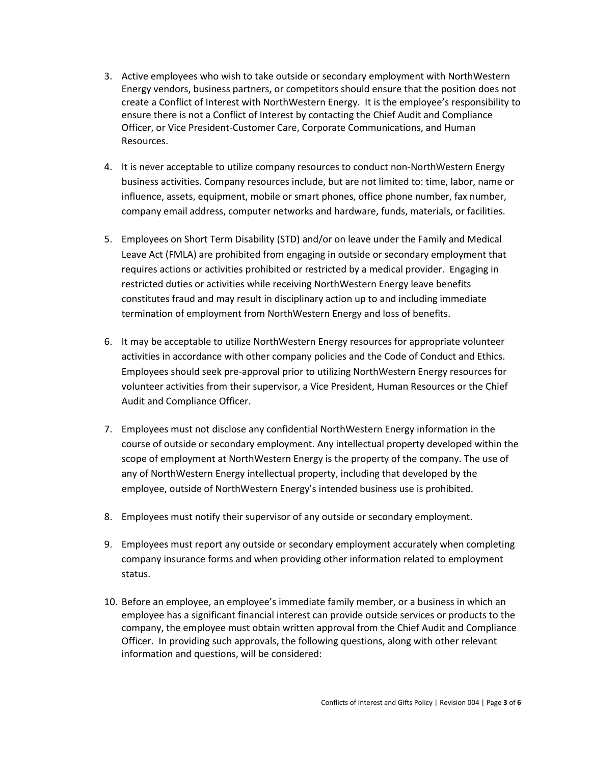- 3. Active employees who wish to take outside or secondary employment with NorthWestern Energy vendors, business partners, or competitors should ensure that the position does not create a Conflict of Interest with NorthWestern Energy. It is the employee's responsibility to ensure there is not a Conflict of Interest by contacting the Chief Audit and Compliance Officer, or Vice President-Customer Care, Corporate Communications, and Human Resources.
- 4. It is never acceptable to utilize company resources to conduct non-NorthWestern Energy business activities. Company resources include, but are not limited to: time, labor, name or influence, assets, equipment, mobile or smart phones, office phone number, fax number, company email address, computer networks and hardware, funds, materials, or facilities.
- 5. Employees on Short Term Disability (STD) and/or on leave under the Family and Medical Leave Act (FMLA) are prohibited from engaging in outside or secondary employment that requires actions or activities prohibited or restricted by a medical provider. Engaging in restricted duties or activities while receiving NorthWestern Energy leave benefits constitutes fraud and may result in disciplinary action up to and including immediate termination of employment from NorthWestern Energy and loss of benefits.
- 6. It may be acceptable to utilize NorthWestern Energy resources for appropriate volunteer activities in accordance with other company policies and the Code of Conduct and Ethics. Employees should seek pre-approval prior to utilizing NorthWestern Energy resources for volunteer activities from their supervisor, a Vice President, Human Resources or the Chief Audit and Compliance Officer.
- 7. Employees must not disclose any confidential NorthWestern Energy information in the course of outside or secondary employment. Any intellectual property developed within the scope of employment at NorthWestern Energy is the property of the company. The use of any of NorthWestern Energy intellectual property, including that developed by the employee, outside of NorthWestern Energy's intended business use is prohibited.
- 8. Employees must notify their supervisor of any outside or secondary employment.
- 9. Employees must report any outside or secondary employment accurately when completing company insurance forms and when providing other information related to employment status.
- 10. Before an employee, an employee's immediate family member, or a business in which an employee has a significant financial interest can provide outside services or products to the company, the employee must obtain written approval from the Chief Audit and Compliance Officer. In providing such approvals, the following questions, along with other relevant information and questions, will be considered: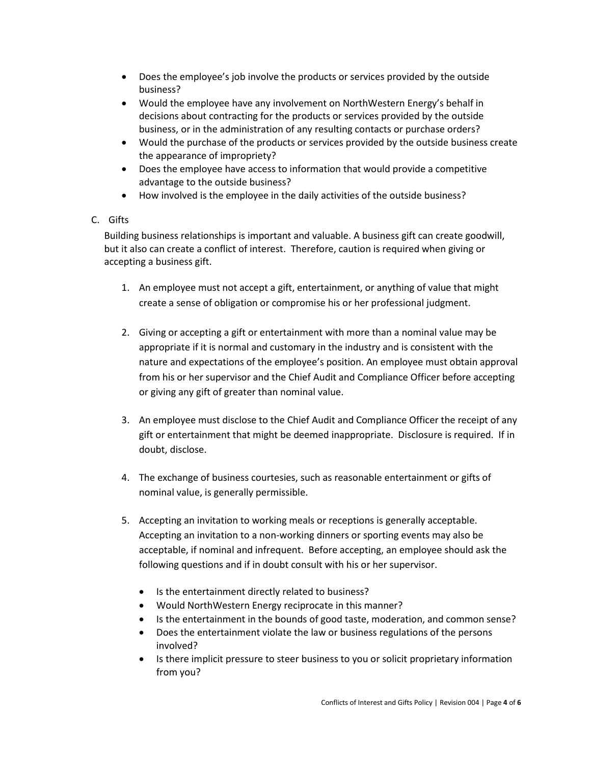- Does the employee's job involve the products or services provided by the outside business?
- Would the employee have any involvement on NorthWestern Energy's behalf in decisions about contracting for the products or services provided by the outside business, or in the administration of any resulting contacts or purchase orders?
- Would the purchase of the products or services provided by the outside business create the appearance of impropriety?
- Does the employee have access to information that would provide a competitive advantage to the outside business?
- How involved is the employee in the daily activities of the outside business?

#### C. Gifts

Building business relationships is important and valuable. A business gift can create goodwill, but it also can create a conflict of interest. Therefore, caution is required when giving or accepting a business gift.

- 1. An employee must not accept a gift, entertainment, or anything of value that might create a sense of obligation or compromise his or her professional judgment.
- 2. Giving or accepting a gift or entertainment with more than a nominal value may be appropriate if it is normal and customary in the industry and is consistent with the nature and expectations of the employee's position. An employee must obtain approval from his or her supervisor and the Chief Audit and Compliance Officer before accepting or giving any gift of greater than nominal value.
- 3. An employee must disclose to the Chief Audit and Compliance Officer the receipt of any gift or entertainment that might be deemed inappropriate. Disclosure is required. If in doubt, disclose.
- 4. The exchange of business courtesies, such as reasonable entertainment or gifts of nominal value, is generally permissible.
- 5. Accepting an invitation to working meals or receptions is generally acceptable. Accepting an invitation to a non-working dinners or sporting events may also be acceptable, if nominal and infrequent. Before accepting, an employee should ask the following questions and if in doubt consult with his or her supervisor.
	- Is the entertainment directly related to business?
	- Would NorthWestern Energy reciprocate in this manner?
	- Is the entertainment in the bounds of good taste, moderation, and common sense?
	- Does the entertainment violate the law or business regulations of the persons involved?
	- Is there implicit pressure to steer business to you or solicit proprietary information from you?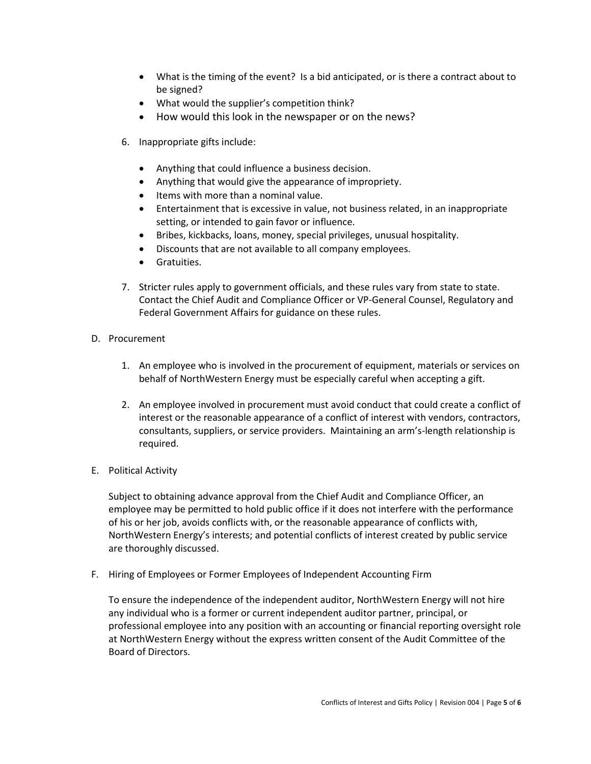- What is the timing of the event? Is a bid anticipated, or is there a contract about to be signed?
- What would the supplier's competition think?
- How would this look in the newspaper or on the news?
- 6. Inappropriate gifts include:
	- Anything that could influence a business decision.
	- Anything that would give the appearance of impropriety.
	- Items with more than a nominal value.
	- Entertainment that is excessive in value, not business related, in an inappropriate setting, or intended to gain favor or influence.
	- Bribes, kickbacks, loans, money, special privileges, unusual hospitality.
	- Discounts that are not available to all company employees.
	- **Gratuities.**
- 7. Stricter rules apply to government officials, and these rules vary from state to state. Contact the Chief Audit and Compliance Officer or VP-General Counsel, Regulatory and Federal Government Affairs for guidance on these rules.
- D. Procurement
	- 1. An employee who is involved in the procurement of equipment, materials or services on behalf of NorthWestern Energy must be especially careful when accepting a gift.
	- 2. An employee involved in procurement must avoid conduct that could create a conflict of interest or the reasonable appearance of a conflict of interest with vendors, contractors, consultants, suppliers, or service providers. Maintaining an arm's-length relationship is required.
- E. Political Activity

Subject to obtaining advance approval from the Chief Audit and Compliance Officer, an employee may be permitted to hold public office if it does not interfere with the performance of his or her job, avoids conflicts with, or the reasonable appearance of conflicts with, NorthWestern Energy's interests; and potential conflicts of interest created by public service are thoroughly discussed.

F. Hiring of Employees or Former Employees of Independent Accounting Firm

To ensure the independence of the independent auditor, NorthWestern Energy will not hire any individual who is a former or current independent auditor partner, principal, or professional employee into any position with an accounting or financial reporting oversight role at NorthWestern Energy without the express written consent of the Audit Committee of the Board of Directors.